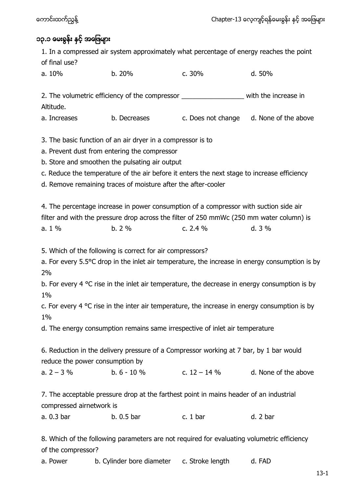## ၁၃.၁ ဖေးရွန်း နှင့် အဖြေများ

1. In a compressed air system approximately what percentage of energy reaches the point of final use?

| a. 10% | b. 20% | c. 30% | d. 50% |
|--------|--------|--------|--------|
|        |        |        |        |

2. The volumetric efficiency of the compressor \_\_\_\_\_\_\_\_\_\_\_\_\_\_\_\_\_\_\_\_\_\_ with the increase in Altitude.

a. Increases b. Decreases c. Does not change d. None of the above

3. The basic function of an air dryer in a compressor is to

a. Prevent dust from entering the compressor

b. Store and smoothen the pulsating air output

c. Reduce the temperature of the air before it enters the next stage to increase efficiency

d. Remove remaining traces of moisture after the after-cooler

4. The percentage increase in power consumption of a compressor with suction side air filter and with the pressure drop across the filter of 250 mmWc (250 mm water column) is a.  $1\%$  b.  $2\%$  c.  $2.4\%$  d.  $3\%$ 

5. Which of the following is correct for air compressors?

a. For every 5.5°C drop in the inlet air temperature, the increase in energy consumption is by 2%

b. For every 4  $\degree$ C rise in the inlet air temperature, the decrease in energy consumption is by 1%

c. For every 4  $\degree$ C rise in the inter air temperature, the increase in energy consumption is by 1%

d. The energy consumption remains same irrespective of inlet air temperature

6. Reduction in the delivery pressure of a Compressor working at 7 bar, by 1 bar would reduce the power consumption by

a.  $2 - 3\%$  b. 6 - 10 % c. 12 – 14 % d. None of the above

7. The acceptable pressure drop at the farthest point in mains header of an industrial compressed airnetwork is

a. 0.3 bar b. 0.5 bar c. 1 bar d. 2 bar

8. Which of the following parameters are not required for evaluating volumetric efficiency of the compressor?

a. Power b. Cylinder bore diameter c. Stroke length d. FAD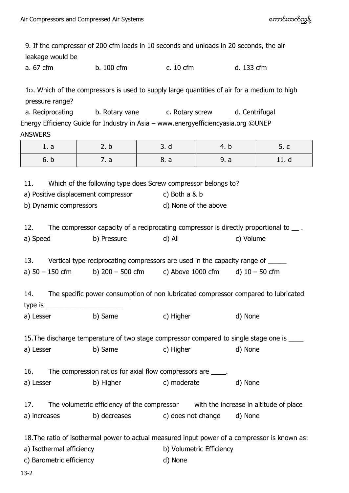9. If the compressor of 200 cfm loads in 10 seconds and unloads in 20 seconds, the air leakage would be a. 67 cfm b. 100 cfm c. 10 cfm d. 133 cfm 1၀. Which of the compressors is used to supply large quantities of air for a medium to high pressure range? a. Reciprocating b. Rotary vane c. Rotary screw d. Centrifugal Energy Efficiency Guide for Industry in Asia – www.energyefficiencyasia.org ©UNEP ANSWERS 1. a | 2.b | 3.d | 4.b | 5.c 6. b | 7.a | 8.a | 9.a | 11.d 11. Which of the following type does Screw compressor belongs to? a) Positive displacement compressor c) Both a & b b) Dynamic compressors d) None of the above 12. The compressor capacity of a reciprocating compressor is directly proportional to  $\_\_$ . a) Speed b) Pressure d) All c) Volume 13. Vertical type reciprocating compressors are used in the capacity range of \_\_\_\_\_ a)  $50 - 150$  cfm b)  $200 - 500$  cfm c) Above  $1000$  cfm d)  $10 - 50$  cfm 14. The specific power consumption of non lubricated compressor compared to lubricated type is a) Lesser b) Same c) Higher d) None 15.The discharge temperature of two stage compressor compared to single stage one is \_\_\_\_ a) Lesser b) Same c) Higher d) None 16. The compression ratios for axial flow compressors are  $\qquad \qquad$ . a) Lesser b) Higher c) moderate d) None 17. The volumetric efficiency of the compressor with the increase in altitude of place a) increases b) decreases c) does not change d) None 18.The ratio of isothermal power to actual measured input power of a compressor is known as: a) Isothermal efficiency b) Volumetric Efficiency c) Barometric efficiency d) None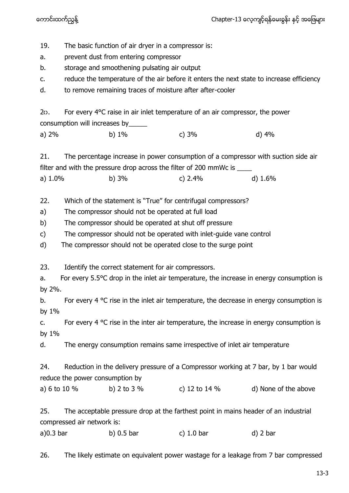19. The basic function of air dryer in a compressor is:

a. prevent dust from entering compressor

b. storage and smoothening pulsating air output

- c. reduce the temperature of the air before it enters the next state to increase efficiency
- d. to remove remaining traces of moisture after after-cooler

20. For every 4°C raise in air inlet temperature of an air compressor, the power consumption will increases by\_\_\_\_\_

| $\frac{1}{2}$ |          |         |       |  |
|---------------|----------|---------|-------|--|
| a) 2%         | b) $1\%$ | c) $3%$ | d) 4% |  |

21. The percentage increase in power consumption of a compressor with suction side air filter and with the pressure drop across the filter of 200 mmWc is \_\_\_\_

a) 1.0% b) 3% c) 2.4% d) 1.6%

22. Which of the statement is "True" for centrifugal compressors?

a) The compressor should not be operated at full load

b) The compressor should be operated at shut off pressure

c) The compressor should not be operated with inlet-guide vane control

d) The compressor should not be operated close to the surge point

23. Identify the correct statement for air compressors.

a. For every 5.5°C drop in the inlet air temperature, the increase in energy consumption is by 2%.

b. For every 4  $\degree$ C rise in the inlet air temperature, the decrease in energy consumption is by 1%

c. For every 4  $\degree$ C rise in the inter air temperature, the increase in energy consumption is by 1%

d. The energy consumption remains same irrespective of inlet air temperature

24. Reduction in the delivery pressure of a Compressor working at 7 bar, by 1 bar would reduce the power consumption by

a) 6 to 10 % b) 2 to 3 % c) 12 to 14 % d) None of the above

25. The acceptable pressure drop at the farthest point in mains header of an industrial compressed air network is:

a)0.3 bar b) 0.5 bar c) 1.0 bar d) 2 bar

26. The likely estimate on equivalent power wastage for a leakage from 7 bar compressed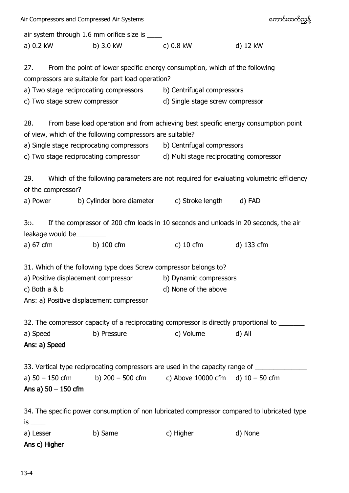| Air Compressors and Compressed Air Systems                                                                               |                                                                                         |                                  | ကောင်းထက်ညွှန့်                                                                               |  |  |
|--------------------------------------------------------------------------------------------------------------------------|-----------------------------------------------------------------------------------------|----------------------------------|-----------------------------------------------------------------------------------------------|--|--|
|                                                                                                                          | air system through 1.6 mm orifice size is ____                                          |                                  |                                                                                               |  |  |
| a) 0.2 kW                                                                                                                | b) 3.0 kW c) 0.8 kW                                                                     |                                  | d) 12 kW                                                                                      |  |  |
| 27.                                                                                                                      | From the point of lower specific energy consumption, which of the following             |                                  |                                                                                               |  |  |
|                                                                                                                          | compressors are suitable for part load operation?                                       |                                  |                                                                                               |  |  |
|                                                                                                                          | a) Two stage reciprocating compressors<br>b) Centrifugal compressors                    |                                  |                                                                                               |  |  |
|                                                                                                                          | c) Two stage screw compressor                                                           | d) Single stage screw compressor |                                                                                               |  |  |
| 28.                                                                                                                      | From base load operation and from achieving best specific energy consumption point      |                                  |                                                                                               |  |  |
|                                                                                                                          | of view, which of the following compressors are suitable?                               |                                  |                                                                                               |  |  |
|                                                                                                                          | a) Single stage reciprocating compressors b) Centrifugal compressors                    |                                  |                                                                                               |  |  |
|                                                                                                                          | c) Two stage reciprocating compressor and Multi stage reciprocating compressor          |                                  |                                                                                               |  |  |
| 29.<br>of the compressor?                                                                                                |                                                                                         |                                  | Which of the following parameters are not required for evaluating volumetric efficiency       |  |  |
| a) Power                                                                                                                 | b) Cylinder bore diameter c) Stroke length                                              |                                  | d) FAD                                                                                        |  |  |
| If the compressor of 200 cfm loads in 10 seconds and unloads in 20 seconds, the air<br>30.<br>leakage would be__________ |                                                                                         |                                  |                                                                                               |  |  |
| a) 67 cfm b) 100 cfm                                                                                                     |                                                                                         | c) $10 \text{ cm}$               | d) 133 cfm                                                                                    |  |  |
|                                                                                                                          | 31. Which of the following type does Screw compressor belongs to?                       |                                  |                                                                                               |  |  |
| a) Positive displacement compressor                                                                                      |                                                                                         | b) Dynamic compressors           |                                                                                               |  |  |
| c) Both a & b                                                                                                            |                                                                                         | d) None of the above             |                                                                                               |  |  |
|                                                                                                                          | Ans: a) Positive displacement compressor                                                |                                  |                                                                                               |  |  |
|                                                                                                                          |                                                                                         |                                  | 32. The compressor capacity of a reciprocating compressor is directly proportional to _______ |  |  |
| a) Speed                                                                                                                 | b) Pressure                                                                             | c) Volume                        | d) All                                                                                        |  |  |
| Ans: a) Speed                                                                                                            |                                                                                         |                                  |                                                                                               |  |  |
|                                                                                                                          | 33. Vertical type reciprocating compressors are used in the capacity range of _________ |                                  |                                                                                               |  |  |
|                                                                                                                          | a) $50 - 150$ cfm b) $200 - 500$ cfm c) Above 10000 cfm d) $10 - 50$ cfm                |                                  |                                                                                               |  |  |
| Ans a) $50 - 150$ cfm                                                                                                    |                                                                                         |                                  |                                                                                               |  |  |
| 34. The specific power consumption of non lubricated compressor compared to lubricated type                              |                                                                                         |                                  |                                                                                               |  |  |
| is $\_\_$                                                                                                                |                                                                                         |                                  |                                                                                               |  |  |
| a) Lesser                                                                                                                | b) Same                                                                                 | c) Higher                        | d) None                                                                                       |  |  |
| Ans c) Higher                                                                                                            |                                                                                         |                                  |                                                                                               |  |  |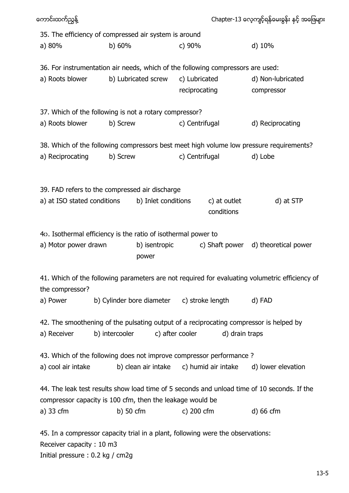| ကောင်းထက်ညွန့်                                                                                                                                 | Chapter-13 လေ့ကျင့်ရန်မေးခွန်း နှင့် အဖြေမျာ |                                            |                 |                            |                                                                                                |
|------------------------------------------------------------------------------------------------------------------------------------------------|----------------------------------------------|--------------------------------------------|-----------------|----------------------------|------------------------------------------------------------------------------------------------|
| 35. The efficiency of compressed air system is around                                                                                          |                                              |                                            |                 |                            |                                                                                                |
| a) 80%                                                                                                                                         | b) 60%                                       |                                            | c) 90%          |                            | d) 10%                                                                                         |
| 36. For instrumentation air needs, which of the following compressors are used:                                                                |                                              |                                            |                 |                            |                                                                                                |
| a) Roots blower                                                                                                                                |                                              | b) Lubricated screw                        | c) Lubricated   |                            | d) Non-lubricated                                                                              |
|                                                                                                                                                |                                              |                                            | reciprocating   |                            | compressor                                                                                     |
| 37. Which of the following is not a rotary compressor?                                                                                         |                                              |                                            |                 |                            |                                                                                                |
| a) Roots blower                                                                                                                                | b) Screw                                     |                                            | c) Centrifugal  |                            | d) Reciprocating                                                                               |
|                                                                                                                                                |                                              |                                            |                 |                            | 38. Which of the following compressors best meet high volume low pressure requirements?        |
| a) Reciprocating                                                                                                                               | b) Screw                                     |                                            | c) Centrifugal  |                            | d) Lobe                                                                                        |
| 39. FAD refers to the compressed air discharge<br>a) at ISO stated conditions                                                                  |                                              | b) Inlet conditions                        |                 | c) at outlet<br>conditions | d) at STP                                                                                      |
| 40. Isothermal efficiency is the ratio of isothermal power to<br>a) Motor power drawn                                                          |                                              | b) isentropic                              |                 | c) Shaft power             | d) theoretical power                                                                           |
|                                                                                                                                                |                                              | power                                      |                 |                            |                                                                                                |
| the compressor?                                                                                                                                |                                              |                                            |                 |                            | 41. Which of the following parameters are not required for evaluating volumetric efficiency of |
| a) Power                                                                                                                                       |                                              | b) Cylinder bore diameter c) stroke length |                 |                            | d) FAD                                                                                         |
| a) Receiver                                                                                                                                    | b) intercooler                               |                                            | c) after cooler | d) drain traps             | 42. The smoothening of the pulsating output of a reciprocating compressor is helped by         |
| 43. Which of the following does not improve compressor performance?                                                                            |                                              |                                            |                 |                            |                                                                                                |
| a) cool air intake                                                                                                                             |                                              | b) clean air intake                        |                 | c) humid air intake        | d) lower elevation                                                                             |
| compressor capacity is 100 cfm, then the leakage would be                                                                                      |                                              |                                            |                 |                            | 44. The leak test results show load time of 5 seconds and unload time of 10 seconds. If the    |
| a) 33 cfm                                                                                                                                      | b) 50 $cm$                                   |                                            | c) 200 cfm      |                            | d) 66 cfm                                                                                      |
| 45. In a compressor capacity trial in a plant, following were the observations:<br>Receiver capacity: 10 m3<br>Initial pressure: 0.2 kg / cm2g |                                              |                                            |                 |                            |                                                                                                |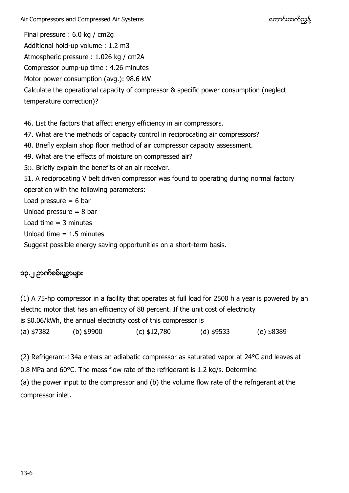Air Compressors and Compressed Air Systems ကား အားသား အသား အသား အသည်းထက်ညွန့် Final pressure : 6.0 kg / cm2g Additional hold-up volume : 1.2 m3 Atmospheric pressure : 1.026 kg / cm2A Compressor pump-up time : 4.26 minutes Motor power consumption (avg.): 98.6 kW Calculate the operational capacity of compressor & specific power consumption (neglect temperature correction)? 46. List the factors that affect energy efficiency in air compressors. 47. What are the methods of capacity control in reciprocating air compressors?

- 48. Briefly explain shop floor method of air compressor capacity assessment.
- 49. What are the effects of moisture on compressed air?
- 5၀. Briefly explain the benefits of an air receiver.

51. A reciprocating V belt driven compressor was found to operating during normal factory operation with the following parameters:

Load pressure  $= 6$  bar

Unload pressure = 8 bar

Load time  $=$  3 minutes

Unload time  $= 1.5$  minutes

Suggest possible energy saving opportunities on a short-term basis.

## ၁၃.၂ ဉာဏ်စမ်းပွစွာများ

(1) A 75-hp compressor in a facility that operates at full load for 2500 h a year is powered by an electric motor that has an efficiency of 88 percent. If the unit cost of electricity is \$0.06/kWh, the annual electricity cost of this compressor is (a) \$7382 (b) \$9900 (c) \$12,780 (d) \$9533 (e) \$8389

(2) Refrigerant-134a enters an adiabatic compressor as saturated vapor at 24°C and leaves at 0.8 MPa and 60°C. The mass flow rate of the refrigerant is 1.2 kg/s. Determine (a) the power input to the compressor and (b) the volume flow rate of the refrigerant at the compressor inlet.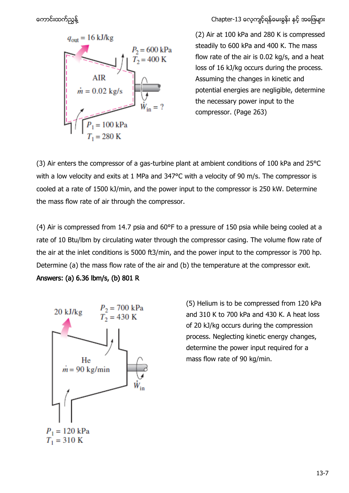

ကောင်းထက်ညွန့် ကားသား ကားသား ကားသား ကားသား Chapter-13 လေ့ကျင့်ရန်မေးခွန်း နှင့် အဖြေများ

(2) Air at 100 kPa and 280 K is compressed steadily to 600 kPa and 400 K. The mass flow rate of the air is 0.02 kg/s, and a heat loss of 16 kJ/kg occurs during the process. Assuming the changes in kinetic and potential energies are negligible, determine the necessary power input to the compressor. (Page 263)

(3) Air enters the compressor of a gas-turbine plant at ambient conditions of 100 kPa and 25°C with a low velocity and exits at 1 MPa and 347°C with a velocity of 90 m/s. The compressor is cooled at a rate of 1500 kJ/min, and the power input to the compressor is 250 kW. Determine the mass flow rate of air through the compressor.

(4) Air is compressed from 14.7 psia and 60°F to a pressure of 150 psia while being cooled at a rate of 10 Btu/lbm by circulating water through the compressor casing. The volume flow rate of the air at the inlet conditions is 5000 ft3/min, and the power input to the compressor is 700 hp. Determine (a) the mass flow rate of the air and (b) the temperature at the compressor exit.





(5) Helium is to be compressed from 120 kPa and 310 K to 700 kPa and 430 K. A heat loss of 20 kJ/kg occurs during the compression process. Neglecting kinetic energy changes, determine the power input required for a mass flow rate of 90 kg/min.